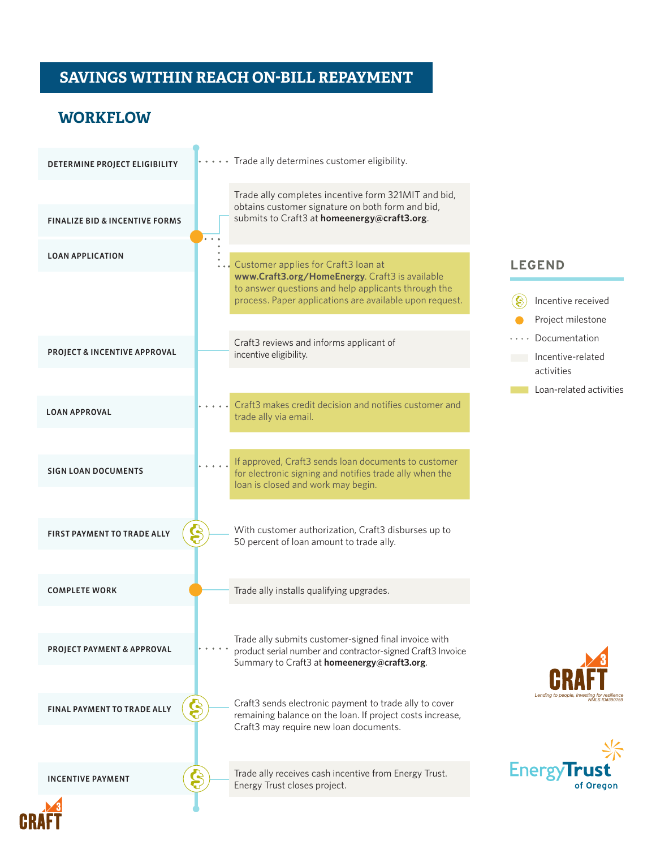# **SAVINGS WITHIN REACH ON-BILL REPAYMENT** SAVINGS WITHIN REACH

Ä

### **WORKFLOW**

| DETERMINE PROJECT ELIGIBILITY                   | Trade ally determines customer eligibility.                                                                                                                                                             |
|-------------------------------------------------|---------------------------------------------------------------------------------------------------------------------------------------------------------------------------------------------------------|
| <b>FINALIZE BID &amp; INCENTIVE FORMS</b>       | Trade ally completes incentive form 321MIT and bid,<br>obtains customer signature on both form and bid,<br>submits to Craft3 at homeenergy@craft3.org.                                                  |
| <b>LOAN APPLICATION</b>                         | Customer applies for Craft3 loan at<br>www.Craft3.org/HomeEnergy. Craft3 is available<br>to answer questions and help applicants through the<br>process. Paper applications are available upon request. |
| PROJECT & INCENTIVE APPROVAL                    | Craft3 reviews and informs applicant of<br>incentive eligibility.                                                                                                                                       |
| <b>LOAN APPROVAL</b>                            | Craft3 makes credit decision and notifies customer and<br>trade ally via email.                                                                                                                         |
| <b>SIGN LOAN DOCUMENTS</b>                      | If approved, Craft3 sends loan documents to customer<br>for electronic signing and notifies trade ally when the<br>loan is closed and work may begin.                                                   |
| <b>မွ</b><br><b>FIRST PAYMENT TO TRADE ALLY</b> | With customer authorization, Craft3 disburses up to<br>50 percent of loan amount to trade ally.                                                                                                         |
| <b>COMPLETE WORK</b>                            | Trade ally installs qualifying upgrades.                                                                                                                                                                |
| PROJECT PAYMENT & APPROVAL                      | Trade ally submits customer-signed final invoice with<br>product serial number and contractor-signed Craft3 Invoice<br>Summary to Craft3 at homeenergy@craft3.org.                                      |
| Ş<br><b>FINAL PAYMENT TO TRADE ALLY</b>         | Craft3 sends electronic payment to trade ally to cover<br>remaining balance on the loan. If project costs increase,<br>Craft3 may require new loan documents.                                           |
| Ş<br><b>INCENTIVE PAYMENT</b>                   | Trade ally receives cash incentive from Energy Trust.<br>Energy Trust closes project.                                                                                                                   |

#### **LEGEND**